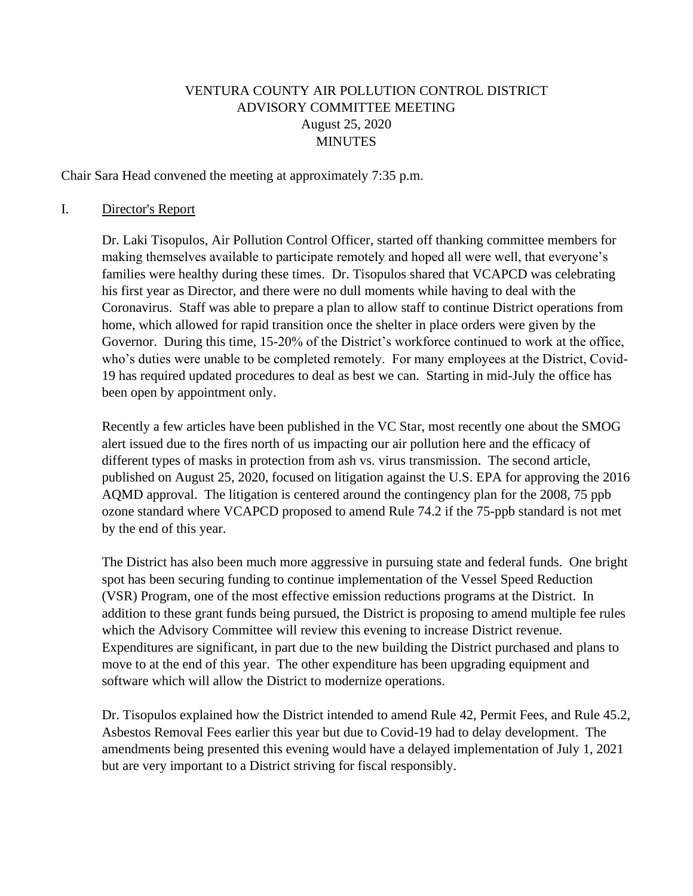## VENTURA COUNTY AIR POLLUTION CONTROL DISTRICT ADVISORY COMMITTEE MEETING August 25, 2020 MINUTES

Chair Sara Head convened the meeting at approximately 7:35 p.m.

#### I. Director's Report

Dr. Laki Tisopulos, Air Pollution Control Officer, started off thanking committee members for making themselves available to participate remotely and hoped all were well, that everyone's families were healthy during these times. Dr. Tisopulos shared that VCAPCD was celebrating his first year as Director, and there were no dull moments while having to deal with the Coronavirus. Staff was able to prepare a plan to allow staff to continue District operations from home, which allowed for rapid transition once the shelter in place orders were given by the Governor. During this time, 15-20% of the District's workforce continued to work at the office, who's duties were unable to be completed remotely. For many employees at the District, Covid-19 has required updated procedures to deal as best we can. Starting in mid-July the office has been open by appointment only.

Recently a few articles have been published in the VC Star, most recently one about the SMOG alert issued due to the fires north of us impacting our air pollution here and the efficacy of different types of masks in protection from ash vs. virus transmission. The second article, published on August 25, 2020, focused on litigation against the U.S. EPA for approving the 2016 AQMD approval. The litigation is centered around the contingency plan for the 2008, 75 ppb ozone standard where VCAPCD proposed to amend Rule 74.2 if the 75-ppb standard is not met by the end of this year.

The District has also been much more aggressive in pursuing state and federal funds. One bright spot has been securing funding to continue implementation of the Vessel Speed Reduction (VSR) Program, one of the most effective emission reductions programs at the District. In addition to these grant funds being pursued, the District is proposing to amend multiple fee rules which the Advisory Committee will review this evening to increase District revenue. Expenditures are significant, in part due to the new building the District purchased and plans to move to at the end of this year. The other expenditure has been upgrading equipment and software which will allow the District to modernize operations.

Dr. Tisopulos explained how the District intended to amend Rule 42, Permit Fees, and Rule 45.2, Asbestos Removal Fees earlier this year but due to Covid-19 had to delay development. The amendments being presented this evening would have a delayed implementation of July 1, 2021 but are very important to a District striving for fiscal responsibly.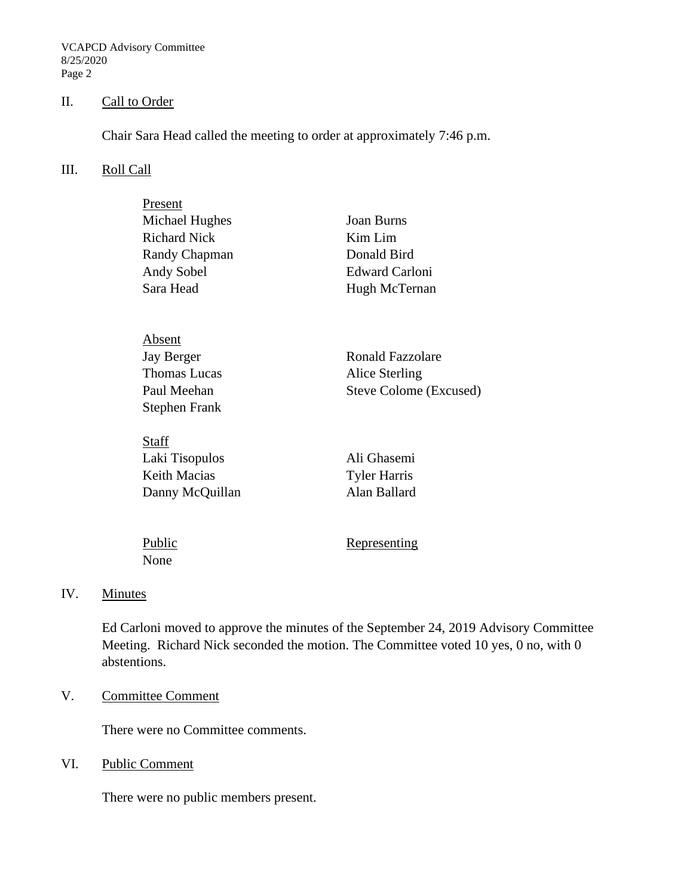VCAPCD Advisory Committee 8/25/2020 Page 2

#### II. Call to Order

Chair Sara Head called the meeting to order at approximately 7:46 p.m.

#### III. Roll Call

| Present             |                        |  |  |  |  |  |
|---------------------|------------------------|--|--|--|--|--|
| Michael Hughes      | <b>Joan Burns</b>      |  |  |  |  |  |
| <b>Richard Nick</b> | Kim Lim                |  |  |  |  |  |
| Randy Chapman       | Donald Bird            |  |  |  |  |  |
| Andy Sobel          | <b>Edward Carloni</b>  |  |  |  |  |  |
| Sara Head           | Hugh McTernan          |  |  |  |  |  |
|                     |                        |  |  |  |  |  |
|                     |                        |  |  |  |  |  |
| Absent              |                        |  |  |  |  |  |
| Jay Berger          | Ronald Fazzolare       |  |  |  |  |  |
| <b>Thomas Lucas</b> | Alice Sterling         |  |  |  |  |  |
| Paul Meehan         | Steve Colome (Excused) |  |  |  |  |  |
| Stephen Frank       |                        |  |  |  |  |  |
|                     |                        |  |  |  |  |  |
| <b>Staff</b>        |                        |  |  |  |  |  |
| Laki Tisopulos      | Ali Ghasemi            |  |  |  |  |  |
| Keith Macias        | <b>Tyler Harris</b>    |  |  |  |  |  |
| Danny McQuillan     | Alan Ballard           |  |  |  |  |  |
|                     |                        |  |  |  |  |  |
|                     |                        |  |  |  |  |  |

| Public | Representing |
|--------|--------------|
| None   |              |

#### IV. Minutes

Ed Carloni moved to approve the minutes of the September 24, 2019 Advisory Committee Meeting. Richard Nick seconded the motion. The Committee voted 10 yes, 0 no, with 0 abstentions.

### V. Committee Comment

There were no Committee comments.

## VI. Public Comment

There were no public members present.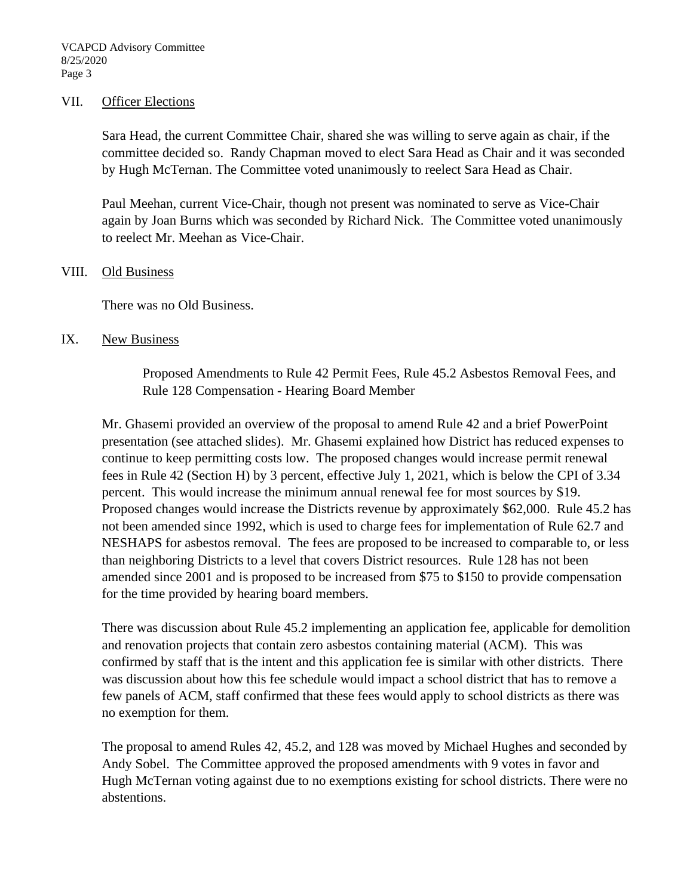#### VII. Officer Elections

Sara Head, the current Committee Chair, shared she was willing to serve again as chair, if the committee decided so. Randy Chapman moved to elect Sara Head as Chair and it was seconded by Hugh McTernan. The Committee voted unanimously to reelect Sara Head as Chair.

Paul Meehan, current Vice-Chair, though not present was nominated to serve as Vice-Chair again by Joan Burns which was seconded by Richard Nick. The Committee voted unanimously to reelect Mr. Meehan as Vice-Chair.

#### VIII. Old Business

There was no Old Business.

#### IX. New Business

Proposed Amendments to Rule 42 Permit Fees, Rule 45.2 Asbestos Removal Fees, and Rule 128 Compensation - Hearing Board Member

Mr. Ghasemi provided an overview of the proposal to amend Rule 42 and a brief PowerPoint presentation (see attached slides). Mr. Ghasemi explained how District has reduced expenses to continue to keep permitting costs low. The proposed changes would increase permit renewal fees in Rule 42 (Section H) by 3 percent, effective July 1, 2021, which is below the CPI of 3.34 percent. This would increase the minimum annual renewal fee for most sources by \$19. Proposed changes would increase the Districts revenue by approximately \$62,000. Rule 45.2 has not been amended since 1992, which is used to charge fees for implementation of Rule 62.7 and NESHAPS for asbestos removal. The fees are proposed to be increased to comparable to, or less than neighboring Districts to a level that covers District resources. Rule 128 has not been amended since 2001 and is proposed to be increased from \$75 to \$150 to provide compensation for the time provided by hearing board members.

There was discussion about Rule 45.2 implementing an application fee, applicable for demolition and renovation projects that contain zero asbestos containing material (ACM). This was confirmed by staff that is the intent and this application fee is similar with other districts. There was discussion about how this fee schedule would impact a school district that has to remove a few panels of ACM, staff confirmed that these fees would apply to school districts as there was no exemption for them.

The proposal to amend Rules 42, 45.2, and 128 was moved by Michael Hughes and seconded by Andy Sobel. The Committee approved the proposed amendments with 9 votes in favor and Hugh McTernan voting against due to no exemptions existing for school districts. There were no abstentions.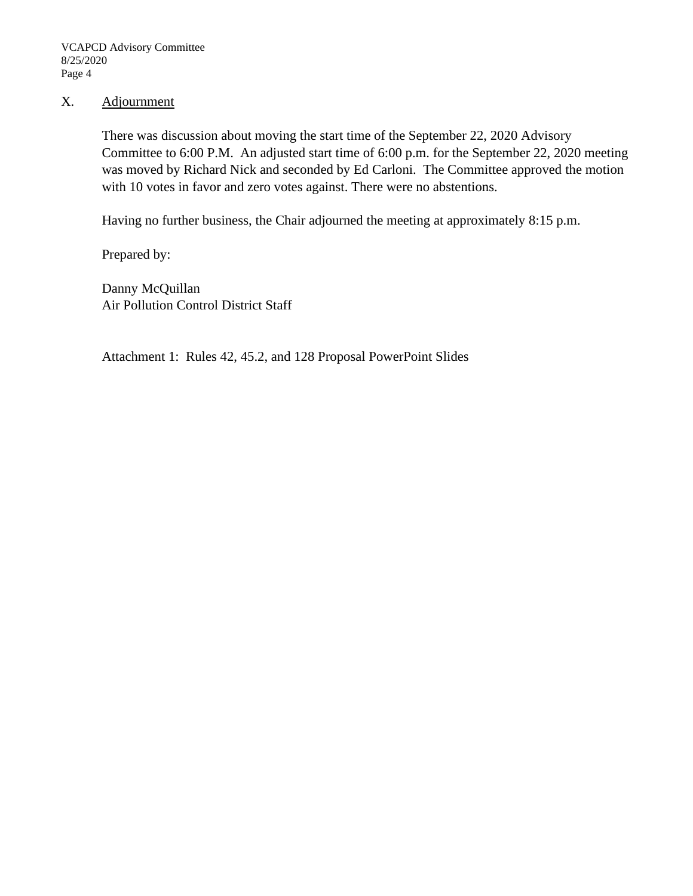### X. Adjournment

There was discussion about moving the start time of the September 22, 2020 Advisory Committee to 6:00 P.M. An adjusted start time of 6:00 p.m. for the September 22, 2020 meeting was moved by Richard Nick and seconded by Ed Carloni. The Committee approved the motion with 10 votes in favor and zero votes against. There were no abstentions.

Having no further business, the Chair adjourned the meeting at approximately 8:15 p.m.

Prepared by:

Danny McQuillan Air Pollution Control District Staff

Attachment 1: Rules 42, 45.2, and 128 Proposal PowerPoint Slides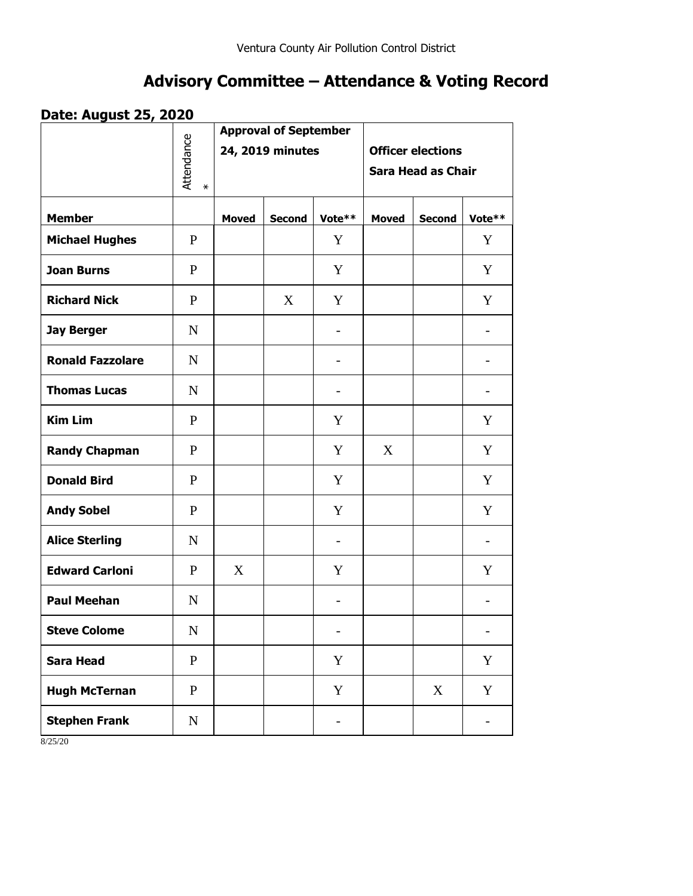## **Advisory Committee – Attendance & Voting Record**

## **Date: August 25, 2020**

|                         |                      | <b>Approval of September</b><br>24, 2019 minutes |               |                          |                                                       |               |                          |
|-------------------------|----------------------|--------------------------------------------------|---------------|--------------------------|-------------------------------------------------------|---------------|--------------------------|
|                         | Attendance<br>$\ast$ |                                                  |               |                          | <b>Officer elections</b><br><b>Sara Head as Chair</b> |               |                          |
| <b>Member</b>           |                      | <b>Moved</b>                                     | <b>Second</b> | Vote**                   | <b>Moved</b>                                          | <b>Second</b> | Vote**                   |
| <b>Michael Hughes</b>   | $\mathbf{P}$         |                                                  |               | Y                        |                                                       |               | Y                        |
| <b>Joan Burns</b>       | $\mathbf{P}$         |                                                  |               | Y                        |                                                       |               | Y                        |
| <b>Richard Nick</b>     | $\mathbf{P}$         |                                                  | X             | Y                        |                                                       |               | Y                        |
| <b>Jay Berger</b>       | $\mathbf N$          |                                                  |               | $\overline{\phantom{0}}$ |                                                       |               | $\overline{\phantom{a}}$ |
| <b>Ronald Fazzolare</b> | $\mathbf N$          |                                                  |               |                          |                                                       |               |                          |
| <b>Thomas Lucas</b>     | $\mathbf N$          |                                                  |               | $\overline{\phantom{0}}$ |                                                       |               | $\overline{\phantom{0}}$ |
| <b>Kim Lim</b>          | $\mathbf{P}$         |                                                  |               | Y                        |                                                       |               | Y                        |
| <b>Randy Chapman</b>    | $\mathbf{P}$         |                                                  |               | Y                        | X                                                     |               | Y                        |
| <b>Donald Bird</b>      | P                    |                                                  |               | Y                        |                                                       |               | Y                        |
| <b>Andy Sobel</b>       | P                    |                                                  |               | Y                        |                                                       |               | Y                        |
| <b>Alice Sterling</b>   | $\mathbf N$          |                                                  |               | $\overline{\phantom{0}}$ |                                                       |               | $\overline{\phantom{a}}$ |
| <b>Edward Carloni</b>   | P                    | X                                                |               | Y                        |                                                       |               | Y                        |
| <b>Paul Meehan</b>      | $\mathbf N$          |                                                  |               | $\overline{\phantom{0}}$ |                                                       |               | $\overline{\phantom{0}}$ |
| <b>Steve Colome</b>     | ${\bf N}$            |                                                  |               |                          |                                                       |               |                          |
| <b>Sara Head</b>        | ${\bf P}$            |                                                  |               | $\mathbf Y$              |                                                       |               | Y                        |
| <b>Hugh McTernan</b>    | $\mathbf{P}$         |                                                  |               | $\mathbf Y$              |                                                       | X             | Y                        |
| <b>Stephen Frank</b>    | ${\bf N}$            |                                                  |               | $\overline{\phantom{0}}$ |                                                       |               | $\qquad \qquad -$        |

8/25/20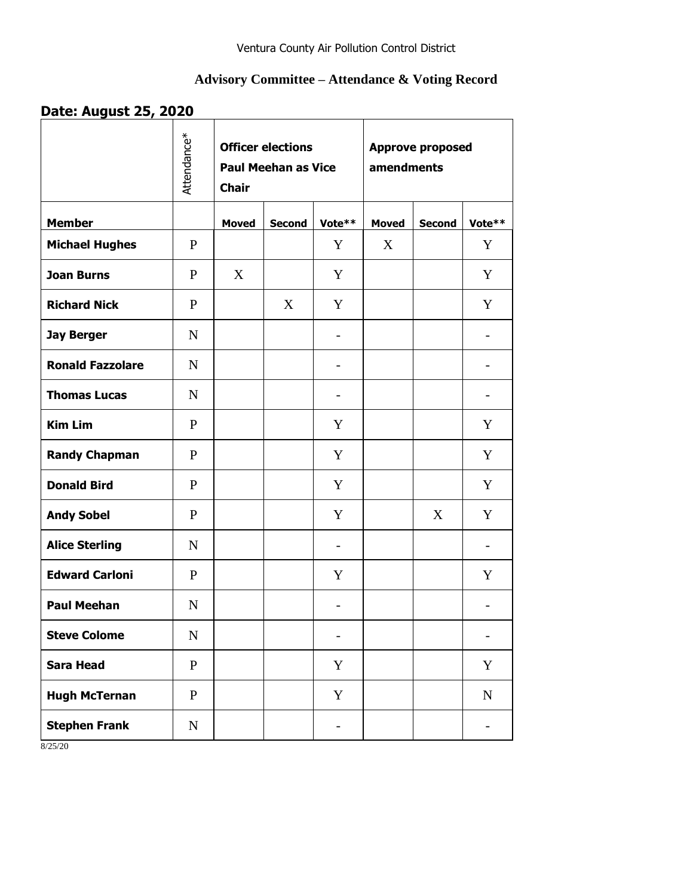## **Advisory Committee – Attendance & Voting Record**

## **Date: August 25, 2020**

|                         | Attendance*    | <b>Officer elections</b><br><b>Paul Meehan as Vice</b><br><b>Chair</b> |               |                              | <b>Approve proposed</b><br>amendments |               |                          |  |
|-------------------------|----------------|------------------------------------------------------------------------|---------------|------------------------------|---------------------------------------|---------------|--------------------------|--|
| <b>Member</b>           |                | <b>Moved</b>                                                           | <b>Second</b> | Vote**                       | <b>Moved</b>                          | <b>Second</b> | Vote**                   |  |
| <b>Michael Hughes</b>   | $\mathbf{P}$   |                                                                        |               | Y                            | X                                     |               | Y                        |  |
| <b>Joan Burns</b>       | P              | X                                                                      |               | Y                            |                                       |               | Y                        |  |
| <b>Richard Nick</b>     | $\mathbf{P}$   |                                                                        | X             | Y                            |                                       |               | Y                        |  |
| <b>Jay Berger</b>       | N              |                                                                        |               | $\overline{\phantom{0}}$     |                                       |               |                          |  |
| <b>Ronald Fazzolare</b> | $\mathbf N$    |                                                                        |               |                              |                                       |               | $\qquad \qquad -$        |  |
| <b>Thomas Lucas</b>     | $\mathbf N$    |                                                                        |               | $\overline{\phantom{0}}$     |                                       |               |                          |  |
| <b>Kim Lim</b>          | P              |                                                                        |               | Y                            |                                       |               | Y                        |  |
| <b>Randy Chapman</b>    | P              |                                                                        |               | Y                            |                                       |               | Y                        |  |
| <b>Donald Bird</b>      | $\mathbf{P}$   |                                                                        |               | Y                            |                                       |               | Y                        |  |
| <b>Andy Sobel</b>       | $\mathbf{P}$   |                                                                        |               | Y                            |                                       | X             | Y                        |  |
| <b>Alice Sterling</b>   | N              |                                                                        |               | $\overline{\phantom{a}}$     |                                       |               | $\overline{\phantom{0}}$ |  |
| <b>Edward Carloni</b>   | P              |                                                                        |               | Y                            |                                       |               | Y                        |  |
| <b>Paul Meehan</b>      | $\mathbf N$    |                                                                        |               | $\overline{\phantom{0}}$     |                                       |               |                          |  |
| <b>Steve Colome</b>     | $\overline{N}$ |                                                                        |               | $\overline{\phantom{0}}$     |                                       |               |                          |  |
| <b>Sara Head</b>        | $\mathbf{P}$   |                                                                        |               | Y                            |                                       |               | Y                        |  |
| <b>Hugh McTernan</b>    | $\mathbf{P}$   |                                                                        |               | Y                            |                                       |               | ${\bf N}$                |  |
| <b>Stephen Frank</b>    | ${\bf N}$      |                                                                        |               | $\qquad \qquad \blacksquare$ |                                       |               | $\overline{\phantom{a}}$ |  |

8/25/20